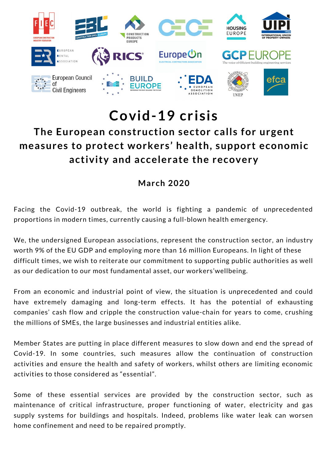

## **Covid-19 crisis**

## **The European construction sector calls for urgent measures to protect workers' health, support economic activity and accelerate the recovery**

## **March 2020**

Facing the Covid-19 outbreak, the world is fighting a pandemic of unprecedented proportions in modern times, currently causing a full-blown health emergency.

We, the undersigned European associations, represent the construction sector, an industry worth 9% of the EU GDP and employing more than 16 million Europeans. In light of these difficult times, we wish to reiterate our commitment to supporting public authorities as well as our dedication to our most fundamental asset, our workers'wellbeing.

From an economic and industrial point of view, the situation is unprecedented and could have extremely damaging and long-term effects. It has the potential of exhausting companies' cash flow and cripple the construction value-chain for years to come, crushing the millions of SMEs, the large businesses and industrial entities alike.

Member States are putting in place different measures to slow down and end the spread of Covid-19. In some countries, such measures allow the continuation of construction activities and ensure the health and safety of workers, whilst others are limiting economic activities to those considered as "essential".

Some of these essential services are provided by the construction sector, such as maintenance of critical infrastructure, proper functioning of water, electricity and gas supply systems for buildings and hospitals. Indeed, problems like water leak can worsen home confinement and need to be repaired promptly.